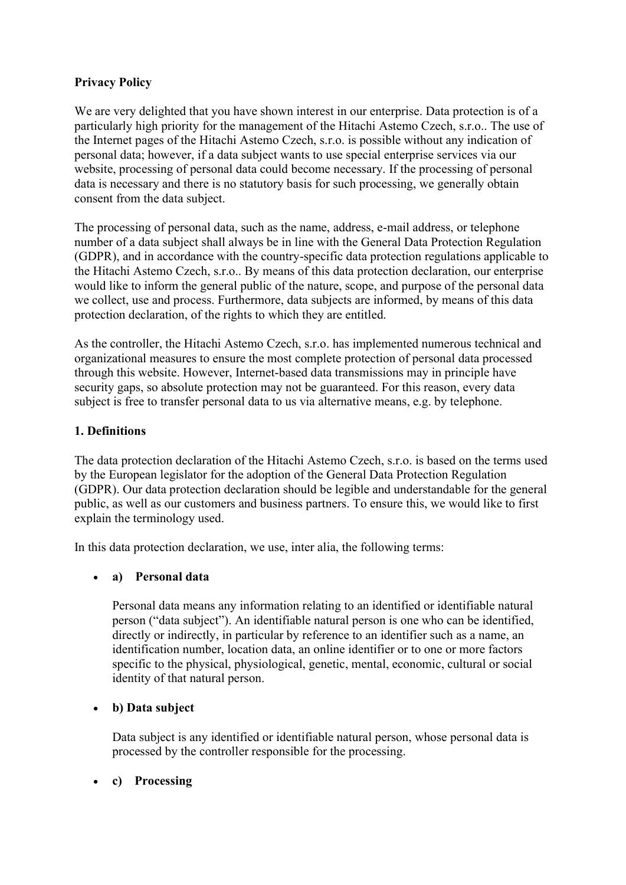# Privacy Policy

We are very delighted that you have shown interest in our enterprise. Data protection is of a particularly high priority for the management of the Hitachi Astemo Czech, s.r.o.. The use of the Internet pages of the Hitachi Astemo Czech, s.r.o. is possible without any indication of personal data; however, if a data subject wants to use special enterprise services via our website, processing of personal data could become necessary. If the processing of personal data is necessary and there is no statutory basis for such processing, we generally obtain consent from the data subject.

The processing of personal data, such as the name, address, e-mail address, or telephone number of a data subject shall always be in line with the General Data Protection Regulation (GDPR), and in accordance with the country-specific data protection regulations applicable to the Hitachi Astemo Czech, s.r.o.. By means of this data protection declaration, our enterprise would like to inform the general public of the nature, scope, and purpose of the personal data we collect, use and process. Furthermore, data subjects are informed, by means of this data protection declaration, of the rights to which they are entitled.

As the controller, the Hitachi Astemo Czech, s.r.o. has implemented numerous technical and organizational measures to ensure the most complete protection of personal data processed through this website. However, Internet-based data transmissions may in principle have security gaps, so absolute protection may not be guaranteed. For this reason, every data subject is free to transfer personal data to us via alternative means, e.g. by telephone.

## 1. Definitions

The data protection declaration of the Hitachi Astemo Czech, s.r.o. is based on the terms used by the European legislator for the adoption of the General Data Protection Regulation (GDPR). Our data protection declaration should be legible and understandable for the general public, as well as our customers and business partners. To ensure this, we would like to first explain the terminology used.

In this data protection declaration, we use, inter alia, the following terms:

## a) Personal data

Personal data means any information relating to an identified or identifiable natural person ("data subject"). An identifiable natural person is one who can be identified, directly or indirectly, in particular by reference to an identifier such as a name, an identification number, location data, an online identifier or to one or more factors specific to the physical, physiological, genetic, mental, economic, cultural or social identity of that natural person.

## • b) Data subject

Data subject is any identified or identifiable natural person, whose personal data is processed by the controller responsible for the processing.

## c) Processing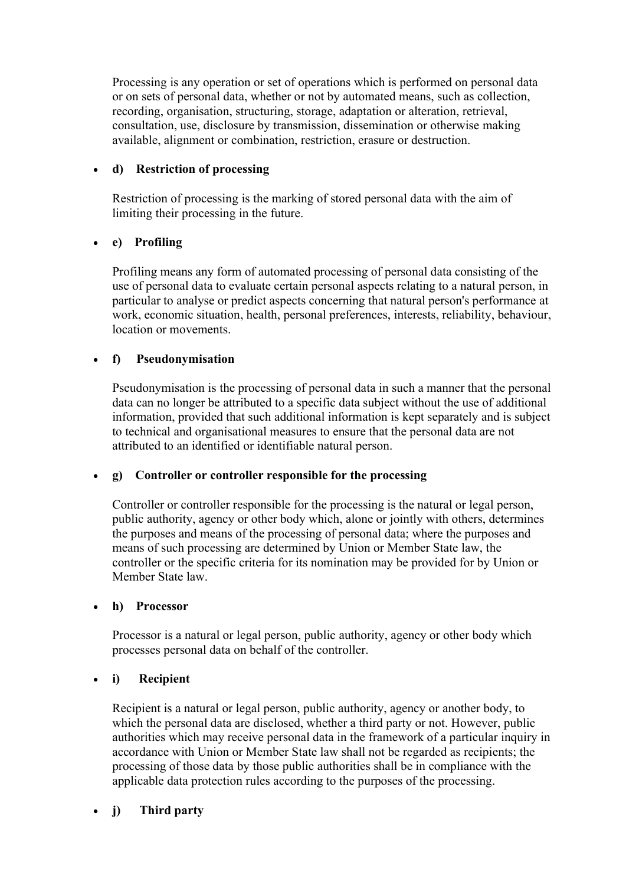Processing is any operation or set of operations which is performed on personal data or on sets of personal data, whether or not by automated means, such as collection, recording, organisation, structuring, storage, adaptation or alteration, retrieval, consultation, use, disclosure by transmission, dissemination or otherwise making available, alignment or combination, restriction, erasure or destruction.

## d) Restriction of processing

Restriction of processing is the marking of stored personal data with the aim of limiting their processing in the future.

# e) Profiling

Profiling means any form of automated processing of personal data consisting of the use of personal data to evaluate certain personal aspects relating to a natural person, in particular to analyse or predict aspects concerning that natural person's performance at work, economic situation, health, personal preferences, interests, reliability, behaviour, location or movements.

# f) Pseudonymisation

Pseudonymisation is the processing of personal data in such a manner that the personal data can no longer be attributed to a specific data subject without the use of additional information, provided that such additional information is kept separately and is subject to technical and organisational measures to ensure that the personal data are not attributed to an identified or identifiable natural person.

## g) Controller or controller responsible for the processing

Controller or controller responsible for the processing is the natural or legal person, public authority, agency or other body which, alone or jointly with others, determines the purposes and means of the processing of personal data; where the purposes and means of such processing are determined by Union or Member State law, the controller or the specific criteria for its nomination may be provided for by Union or Member State law.

## h) Processor

Processor is a natural or legal person, public authority, agency or other body which processes personal data on behalf of the controller.

## i) Recipient

Recipient is a natural or legal person, public authority, agency or another body, to which the personal data are disclosed, whether a third party or not. However, public authorities which may receive personal data in the framework of a particular inquiry in accordance with Union or Member State law shall not be regarded as recipients; the processing of those data by those public authorities shall be in compliance with the applicable data protection rules according to the purposes of the processing.

# j) Third party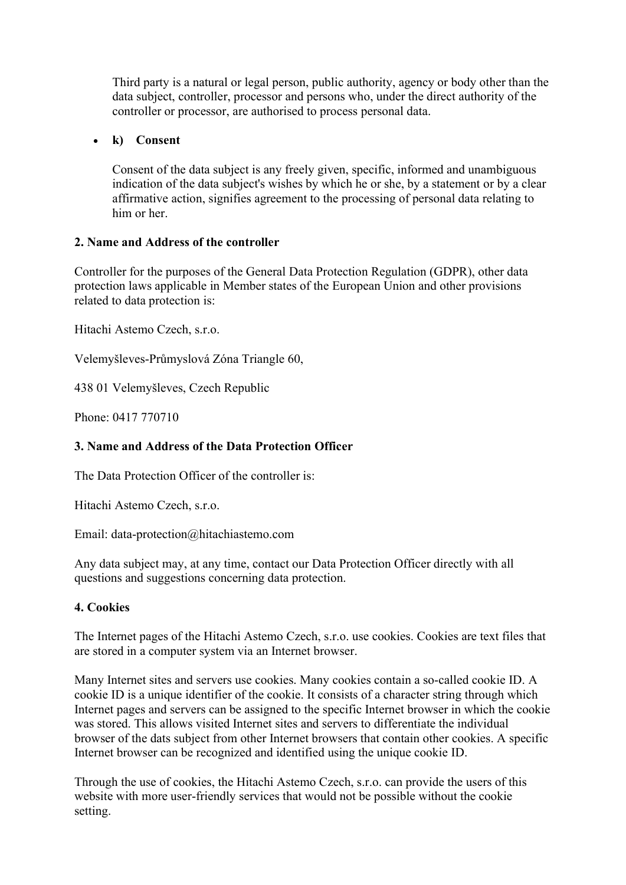Third party is a natural or legal person, public authority, agency or body other than the data subject, controller, processor and persons who, under the direct authority of the controller or processor, are authorised to process personal data.

## k) Consent

Consent of the data subject is any freely given, specific, informed and unambiguous indication of the data subject's wishes by which he or she, by a statement or by a clear affirmative action, signifies agreement to the processing of personal data relating to him or her.

#### 2. Name and Address of the controller

Controller for the purposes of the General Data Protection Regulation (GDPR), other data protection laws applicable in Member states of the European Union and other provisions related to data protection is:

Hitachi Astemo Czech, s.r.o.

Velemyšleves-Průmyslová Zóna Triangle 60,

438 01 Velemyšleves, Czech Republic

Phone: 0417 770710

#### 3. Name and Address of the Data Protection Officer

The Data Protection Officer of the controller is:

Hitachi Astemo Czech, s.r.o.

Email: data-protection@hitachiastemo.com

Any data subject may, at any time, contact our Data Protection Officer directly with all questions and suggestions concerning data protection.

## 4. Cookies

The Internet pages of the Hitachi Astemo Czech, s.r.o. use cookies. Cookies are text files that are stored in a computer system via an Internet browser.

Many Internet sites and servers use cookies. Many cookies contain a so-called cookie ID. A cookie ID is a unique identifier of the cookie. It consists of a character string through which Internet pages and servers can be assigned to the specific Internet browser in which the cookie was stored. This allows visited Internet sites and servers to differentiate the individual browser of the dats subject from other Internet browsers that contain other cookies. A specific Internet browser can be recognized and identified using the unique cookie ID.

Through the use of cookies, the Hitachi Astemo Czech, s.r.o. can provide the users of this website with more user-friendly services that would not be possible without the cookie setting.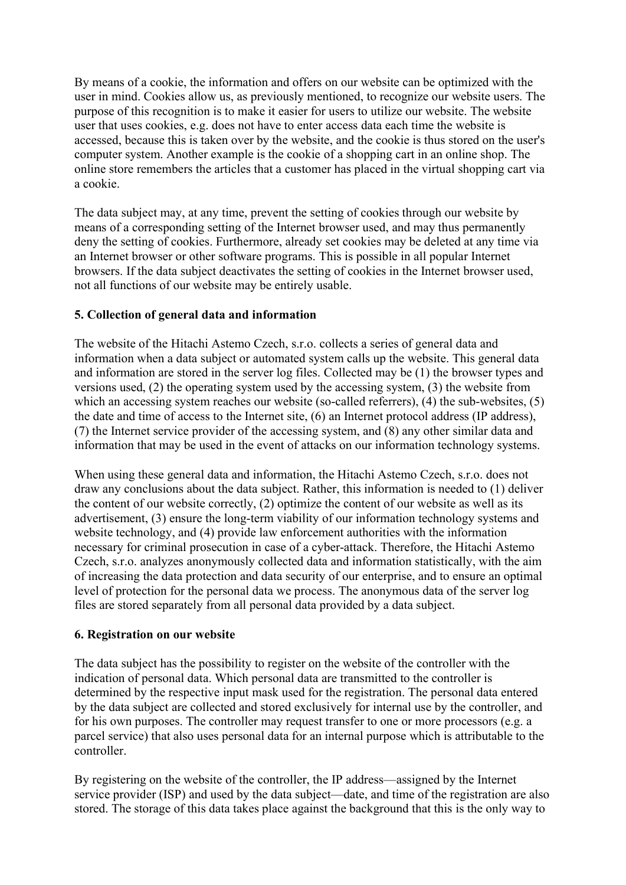By means of a cookie, the information and offers on our website can be optimized with the user in mind. Cookies allow us, as previously mentioned, to recognize our website users. The purpose of this recognition is to make it easier for users to utilize our website. The website user that uses cookies, e.g. does not have to enter access data each time the website is accessed, because this is taken over by the website, and the cookie is thus stored on the user's computer system. Another example is the cookie of a shopping cart in an online shop. The online store remembers the articles that a customer has placed in the virtual shopping cart via a cookie.

The data subject may, at any time, prevent the setting of cookies through our website by means of a corresponding setting of the Internet browser used, and may thus permanently deny the setting of cookies. Furthermore, already set cookies may be deleted at any time via an Internet browser or other software programs. This is possible in all popular Internet browsers. If the data subject deactivates the setting of cookies in the Internet browser used, not all functions of our website may be entirely usable.

## 5. Collection of general data and information

The website of the Hitachi Astemo Czech, s.r.o. collects a series of general data and information when a data subject or automated system calls up the website. This general data and information are stored in the server log files. Collected may be (1) the browser types and versions used, (2) the operating system used by the accessing system, (3) the website from which an accessing system reaches our website (so-called referrers), (4) the sub-websites, (5) the date and time of access to the Internet site, (6) an Internet protocol address (IP address), (7) the Internet service provider of the accessing system, and (8) any other similar data and information that may be used in the event of attacks on our information technology systems.

When using these general data and information, the Hitachi Astemo Czech, s.r.o. does not draw any conclusions about the data subject. Rather, this information is needed to (1) deliver the content of our website correctly, (2) optimize the content of our website as well as its advertisement, (3) ensure the long-term viability of our information technology systems and website technology, and (4) provide law enforcement authorities with the information necessary for criminal prosecution in case of a cyber-attack. Therefore, the Hitachi Astemo Czech, s.r.o. analyzes anonymously collected data and information statistically, with the aim of increasing the data protection and data security of our enterprise, and to ensure an optimal level of protection for the personal data we process. The anonymous data of the server log files are stored separately from all personal data provided by a data subject.

## 6. Registration on our website

The data subject has the possibility to register on the website of the controller with the indication of personal data. Which personal data are transmitted to the controller is determined by the respective input mask used for the registration. The personal data entered by the data subject are collected and stored exclusively for internal use by the controller, and for his own purposes. The controller may request transfer to one or more processors (e.g. a parcel service) that also uses personal data for an internal purpose which is attributable to the controller.

By registering on the website of the controller, the IP address—assigned by the Internet service provider (ISP) and used by the data subject—date, and time of the registration are also stored. The storage of this data takes place against the background that this is the only way to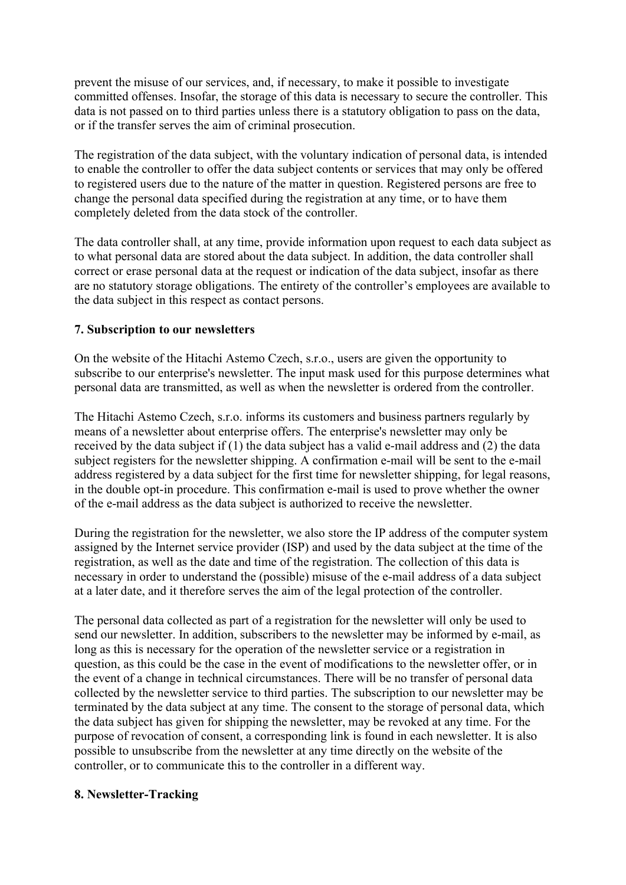prevent the misuse of our services, and, if necessary, to make it possible to investigate committed offenses. Insofar, the storage of this data is necessary to secure the controller. This data is not passed on to third parties unless there is a statutory obligation to pass on the data, or if the transfer serves the aim of criminal prosecution.

The registration of the data subject, with the voluntary indication of personal data, is intended to enable the controller to offer the data subject contents or services that may only be offered to registered users due to the nature of the matter in question. Registered persons are free to change the personal data specified during the registration at any time, or to have them completely deleted from the data stock of the controller.

The data controller shall, at any time, provide information upon request to each data subject as to what personal data are stored about the data subject. In addition, the data controller shall correct or erase personal data at the request or indication of the data subject, insofar as there are no statutory storage obligations. The entirety of the controller's employees are available to the data subject in this respect as contact persons.

#### 7. Subscription to our newsletters

On the website of the Hitachi Astemo Czech, s.r.o., users are given the opportunity to subscribe to our enterprise's newsletter. The input mask used for this purpose determines what personal data are transmitted, as well as when the newsletter is ordered from the controller.

The Hitachi Astemo Czech, s.r.o. informs its customers and business partners regularly by means of a newsletter about enterprise offers. The enterprise's newsletter may only be received by the data subject if (1) the data subject has a valid e-mail address and (2) the data subject registers for the newsletter shipping. A confirmation e-mail will be sent to the e-mail address registered by a data subject for the first time for newsletter shipping, for legal reasons, in the double opt-in procedure. This confirmation e-mail is used to prove whether the owner of the e-mail address as the data subject is authorized to receive the newsletter.

During the registration for the newsletter, we also store the IP address of the computer system assigned by the Internet service provider (ISP) and used by the data subject at the time of the registration, as well as the date and time of the registration. The collection of this data is necessary in order to understand the (possible) misuse of the e-mail address of a data subject at a later date, and it therefore serves the aim of the legal protection of the controller.

The personal data collected as part of a registration for the newsletter will only be used to send our newsletter. In addition, subscribers to the newsletter may be informed by e-mail, as long as this is necessary for the operation of the newsletter service or a registration in question, as this could be the case in the event of modifications to the newsletter offer, or in the event of a change in technical circumstances. There will be no transfer of personal data collected by the newsletter service to third parties. The subscription to our newsletter may be terminated by the data subject at any time. The consent to the storage of personal data, which the data subject has given for shipping the newsletter, may be revoked at any time. For the purpose of revocation of consent, a corresponding link is found in each newsletter. It is also possible to unsubscribe from the newsletter at any time directly on the website of the controller, or to communicate this to the controller in a different way.

#### 8. Newsletter-Tracking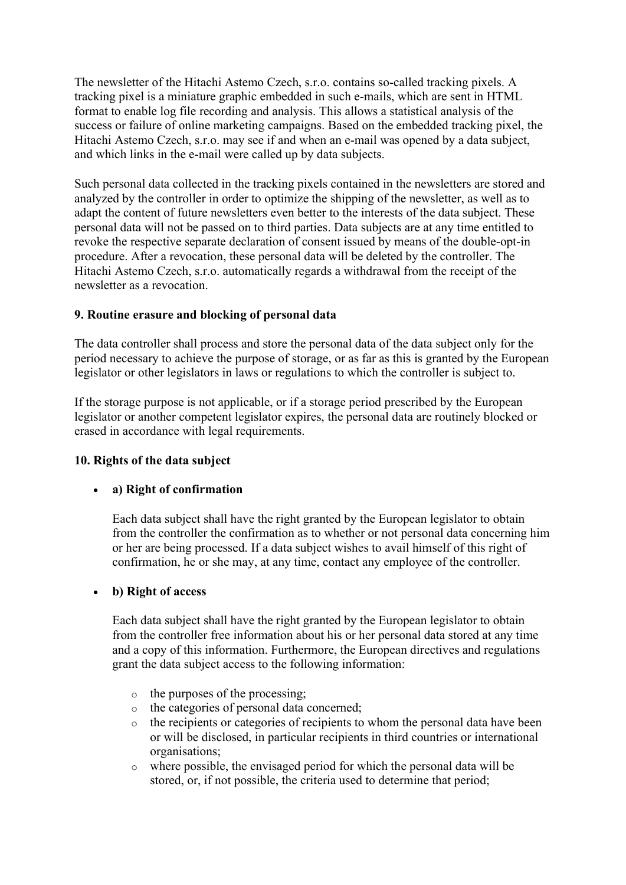The newsletter of the Hitachi Astemo Czech, s.r.o. contains so-called tracking pixels. A tracking pixel is a miniature graphic embedded in such e-mails, which are sent in HTML format to enable log file recording and analysis. This allows a statistical analysis of the success or failure of online marketing campaigns. Based on the embedded tracking pixel, the Hitachi Astemo Czech, s.r.o. may see if and when an e-mail was opened by a data subject, and which links in the e-mail were called up by data subjects.

Such personal data collected in the tracking pixels contained in the newsletters are stored and analyzed by the controller in order to optimize the shipping of the newsletter, as well as to adapt the content of future newsletters even better to the interests of the data subject. These personal data will not be passed on to third parties. Data subjects are at any time entitled to revoke the respective separate declaration of consent issued by means of the double-opt-in procedure. After a revocation, these personal data will be deleted by the controller. The Hitachi Astemo Czech, s.r.o. automatically regards a withdrawal from the receipt of the newsletter as a revocation.

## 9. Routine erasure and blocking of personal data

The data controller shall process and store the personal data of the data subject only for the period necessary to achieve the purpose of storage, or as far as this is granted by the European legislator or other legislators in laws or regulations to which the controller is subject to.

If the storage purpose is not applicable, or if a storage period prescribed by the European legislator or another competent legislator expires, the personal data are routinely blocked or erased in accordance with legal requirements.

## 10. Rights of the data subject

## a) Right of confirmation

Each data subject shall have the right granted by the European legislator to obtain from the controller the confirmation as to whether or not personal data concerning him or her are being processed. If a data subject wishes to avail himself of this right of confirmation, he or she may, at any time, contact any employee of the controller.

#### b) Right of access

Each data subject shall have the right granted by the European legislator to obtain from the controller free information about his or her personal data stored at any time and a copy of this information. Furthermore, the European directives and regulations grant the data subject access to the following information:

- o the purposes of the processing;
- o the categories of personal data concerned;
- o the recipients or categories of recipients to whom the personal data have been or will be disclosed, in particular recipients in third countries or international organisations;
- o where possible, the envisaged period for which the personal data will be stored, or, if not possible, the criteria used to determine that period;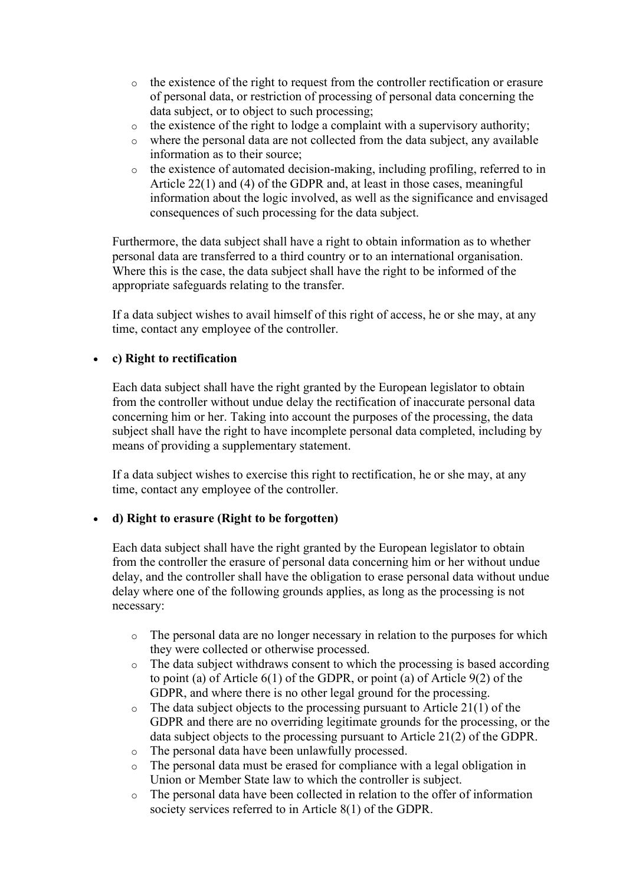- o the existence of the right to request from the controller rectification or erasure of personal data, or restriction of processing of personal data concerning the data subject, or to object to such processing;
- o the existence of the right to lodge a complaint with a supervisory authority;
- o where the personal data are not collected from the data subject, any available information as to their source;
- o the existence of automated decision-making, including profiling, referred to in Article 22(1) and (4) of the GDPR and, at least in those cases, meaningful information about the logic involved, as well as the significance and envisaged consequences of such processing for the data subject.

Furthermore, the data subject shall have a right to obtain information as to whether personal data are transferred to a third country or to an international organisation. Where this is the case, the data subject shall have the right to be informed of the appropriate safeguards relating to the transfer.

If a data subject wishes to avail himself of this right of access, he or she may, at any time, contact any employee of the controller.

## c) Right to rectification

Each data subject shall have the right granted by the European legislator to obtain from the controller without undue delay the rectification of inaccurate personal data concerning him or her. Taking into account the purposes of the processing, the data subject shall have the right to have incomplete personal data completed, including by means of providing a supplementary statement.

If a data subject wishes to exercise this right to rectification, he or she may, at any time, contact any employee of the controller.

## d) Right to erasure (Right to be forgotten)

Each data subject shall have the right granted by the European legislator to obtain from the controller the erasure of personal data concerning him or her without undue delay, and the controller shall have the obligation to erase personal data without undue delay where one of the following grounds applies, as long as the processing is not necessary:

- o The personal data are no longer necessary in relation to the purposes for which they were collected or otherwise processed.
- o The data subject withdraws consent to which the processing is based according to point (a) of Article 6(1) of the GDPR, or point (a) of Article 9(2) of the GDPR, and where there is no other legal ground for the processing.
- $\circ$  The data subject objects to the processing pursuant to Article 21(1) of the GDPR and there are no overriding legitimate grounds for the processing, or the data subject objects to the processing pursuant to Article 21(2) of the GDPR.
- o The personal data have been unlawfully processed.
- o The personal data must be erased for compliance with a legal obligation in Union or Member State law to which the controller is subject.
- o The personal data have been collected in relation to the offer of information society services referred to in Article 8(1) of the GDPR.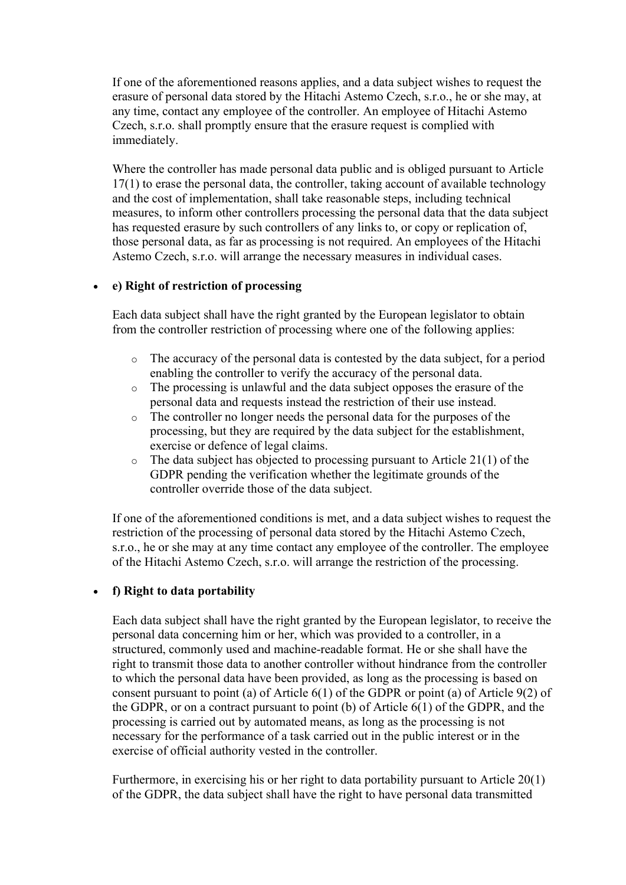If one of the aforementioned reasons applies, and a data subject wishes to request the erasure of personal data stored by the Hitachi Astemo Czech, s.r.o., he or she may, at any time, contact any employee of the controller. An employee of Hitachi Astemo Czech, s.r.o. shall promptly ensure that the erasure request is complied with immediately.

Where the controller has made personal data public and is obliged pursuant to Article 17(1) to erase the personal data, the controller, taking account of available technology and the cost of implementation, shall take reasonable steps, including technical measures, to inform other controllers processing the personal data that the data subject has requested erasure by such controllers of any links to, or copy or replication of, those personal data, as far as processing is not required. An employees of the Hitachi Astemo Czech, s.r.o. will arrange the necessary measures in individual cases.

#### e) Right of restriction of processing

Each data subject shall have the right granted by the European legislator to obtain from the controller restriction of processing where one of the following applies:

- o The accuracy of the personal data is contested by the data subject, for a period enabling the controller to verify the accuracy of the personal data.
- o The processing is unlawful and the data subject opposes the erasure of the personal data and requests instead the restriction of their use instead.
- o The controller no longer needs the personal data for the purposes of the processing, but they are required by the data subject for the establishment, exercise or defence of legal claims.
- $\circ$  The data subject has objected to processing pursuant to Article 21(1) of the GDPR pending the verification whether the legitimate grounds of the controller override those of the data subject.

If one of the aforementioned conditions is met, and a data subject wishes to request the restriction of the processing of personal data stored by the Hitachi Astemo Czech, s.r.o., he or she may at any time contact any employee of the controller. The employee of the Hitachi Astemo Czech, s.r.o. will arrange the restriction of the processing.

#### f) Right to data portability

Each data subject shall have the right granted by the European legislator, to receive the personal data concerning him or her, which was provided to a controller, in a structured, commonly used and machine-readable format. He or she shall have the right to transmit those data to another controller without hindrance from the controller to which the personal data have been provided, as long as the processing is based on consent pursuant to point (a) of Article 6(1) of the GDPR or point (a) of Article 9(2) of the GDPR, or on a contract pursuant to point (b) of Article 6(1) of the GDPR, and the processing is carried out by automated means, as long as the processing is not necessary for the performance of a task carried out in the public interest or in the exercise of official authority vested in the controller.

Furthermore, in exercising his or her right to data portability pursuant to Article 20(1) of the GDPR, the data subject shall have the right to have personal data transmitted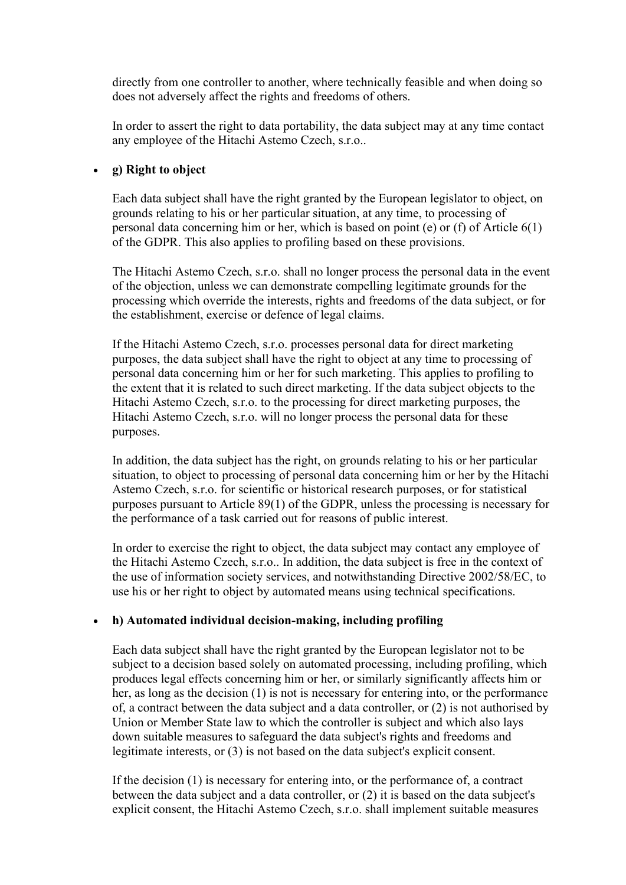directly from one controller to another, where technically feasible and when doing so does not adversely affect the rights and freedoms of others.

In order to assert the right to data portability, the data subject may at any time contact any employee of the Hitachi Astemo Czech, s.r.o..

#### g) Right to object

Each data subject shall have the right granted by the European legislator to object, on grounds relating to his or her particular situation, at any time, to processing of personal data concerning him or her, which is based on point (e) or (f) of Article 6(1) of the GDPR. This also applies to profiling based on these provisions.

The Hitachi Astemo Czech, s.r.o. shall no longer process the personal data in the event of the objection, unless we can demonstrate compelling legitimate grounds for the processing which override the interests, rights and freedoms of the data subject, or for the establishment, exercise or defence of legal claims.

If the Hitachi Astemo Czech, s.r.o. processes personal data for direct marketing purposes, the data subject shall have the right to object at any time to processing of personal data concerning him or her for such marketing. This applies to profiling to the extent that it is related to such direct marketing. If the data subject objects to the Hitachi Astemo Czech, s.r.o. to the processing for direct marketing purposes, the Hitachi Astemo Czech, s.r.o. will no longer process the personal data for these purposes.

In addition, the data subject has the right, on grounds relating to his or her particular situation, to object to processing of personal data concerning him or her by the Hitachi Astemo Czech, s.r.o. for scientific or historical research purposes, or for statistical purposes pursuant to Article 89(1) of the GDPR, unless the processing is necessary for the performance of a task carried out for reasons of public interest.

In order to exercise the right to object, the data subject may contact any employee of the Hitachi Astemo Czech, s.r.o.. In addition, the data subject is free in the context of the use of information society services, and notwithstanding Directive 2002/58/EC, to use his or her right to object by automated means using technical specifications.

## h) Automated individual decision-making, including profiling

Each data subject shall have the right granted by the European legislator not to be subject to a decision based solely on automated processing, including profiling, which produces legal effects concerning him or her, or similarly significantly affects him or her, as long as the decision (1) is not is necessary for entering into, or the performance of, a contract between the data subject and a data controller, or (2) is not authorised by Union or Member State law to which the controller is subject and which also lays down suitable measures to safeguard the data subject's rights and freedoms and legitimate interests, or (3) is not based on the data subject's explicit consent.

If the decision (1) is necessary for entering into, or the performance of, a contract between the data subject and a data controller, or (2) it is based on the data subject's explicit consent, the Hitachi Astemo Czech, s.r.o. shall implement suitable measures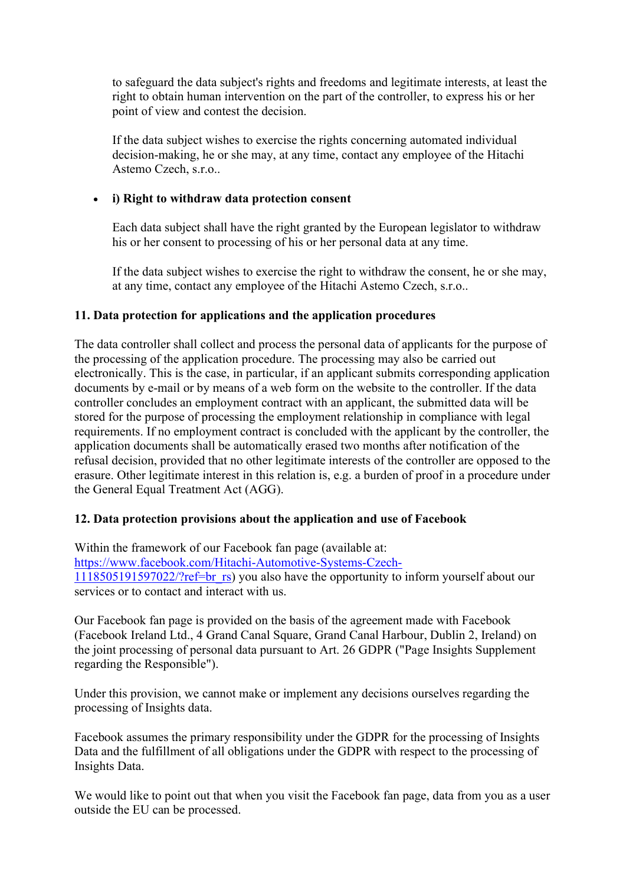to safeguard the data subject's rights and freedoms and legitimate interests, at least the right to obtain human intervention on the part of the controller, to express his or her point of view and contest the decision.

If the data subject wishes to exercise the rights concerning automated individual decision-making, he or she may, at any time, contact any employee of the Hitachi Astemo Czech, s.r.o..

## i) Right to withdraw data protection consent

Each data subject shall have the right granted by the European legislator to withdraw his or her consent to processing of his or her personal data at any time.

If the data subject wishes to exercise the right to withdraw the consent, he or she may, at any time, contact any employee of the Hitachi Astemo Czech, s.r.o..

## 11. Data protection for applications and the application procedures

The data controller shall collect and process the personal data of applicants for the purpose of the processing of the application procedure. The processing may also be carried out electronically. This is the case, in particular, if an applicant submits corresponding application documents by e-mail or by means of a web form on the website to the controller. If the data controller concludes an employment contract with an applicant, the submitted data will be stored for the purpose of processing the employment relationship in compliance with legal requirements. If no employment contract is concluded with the applicant by the controller, the application documents shall be automatically erased two months after notification of the refusal decision, provided that no other legitimate interests of the controller are opposed to the erasure. Other legitimate interest in this relation is, e.g. a burden of proof in a procedure under the General Equal Treatment Act (AGG).

## 12. Data protection provisions about the application and use of Facebook

Within the framework of our Facebook fan page (available at: https://www.facebook.com/Hitachi-Automotive-Systems-Czech-1118505191597022/?ref=br\_rs) you also have the opportunity to inform yourself about our services or to contact and interact with us.

Our Facebook fan page is provided on the basis of the agreement made with Facebook (Facebook Ireland Ltd., 4 Grand Canal Square, Grand Canal Harbour, Dublin 2, Ireland) on the joint processing of personal data pursuant to Art. 26 GDPR ("Page Insights Supplement regarding the Responsible").

Under this provision, we cannot make or implement any decisions ourselves regarding the processing of Insights data.

Facebook assumes the primary responsibility under the GDPR for the processing of Insights Data and the fulfillment of all obligations under the GDPR with respect to the processing of Insights Data.

We would like to point out that when you visit the Facebook fan page, data from you as a user outside the EU can be processed.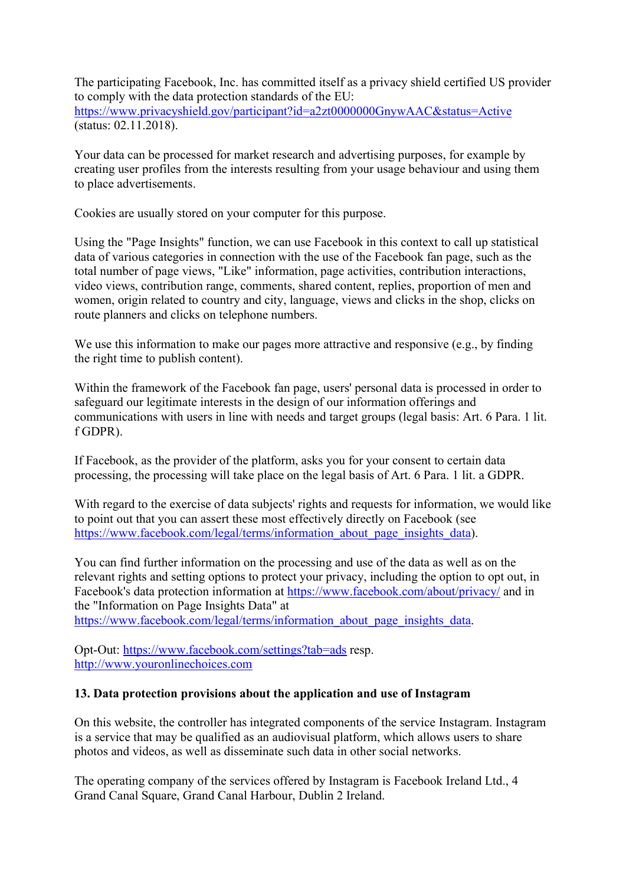The participating Facebook, Inc. has committed itself as a privacy shield certified US provider to comply with the data protection standards of the EU: https://www.privacyshield.gov/participant?id=a2zt0000000GnywAAC&status=Active (status: 02.11.2018).

Your data can be processed for market research and advertising purposes, for example by creating user profiles from the interests resulting from your usage behaviour and using them to place advertisements.

Cookies are usually stored on your computer for this purpose.

Using the "Page Insights" function, we can use Facebook in this context to call up statistical data of various categories in connection with the use of the Facebook fan page, such as the total number of page views, "Like" information, page activities, contribution interactions, video views, contribution range, comments, shared content, replies, proportion of men and women, origin related to country and city, language, views and clicks in the shop, clicks on route planners and clicks on telephone numbers.

We use this information to make our pages more attractive and responsive (e.g., by finding the right time to publish content).

Within the framework of the Facebook fan page, users' personal data is processed in order to safeguard our legitimate interests in the design of our information offerings and communications with users in line with needs and target groups (legal basis: Art. 6 Para. 1 lit. f GDPR).

If Facebook, as the provider of the platform, asks you for your consent to certain data processing, the processing will take place on the legal basis of Art. 6 Para. 1 lit. a GDPR.

With regard to the exercise of data subjects' rights and requests for information, we would like to point out that you can assert these most effectively directly on Facebook (see https://www.facebook.com/legal/terms/information\_about\_page\_insights\_data).

You can find further information on the processing and use of the data as well as on the relevant rights and setting options to protect your privacy, including the option to opt out, in Facebook's data protection information at https://www.facebook.com/about/privacy/ and in the "Information on Page Insights Data" at https://www.facebook.com/legal/terms/information\_about\_page\_insights\_data.

Opt-Out: https://www.facebook.com/settings?tab=ads resp.

http://www.youronlinechoices.com

## 13. Data protection provisions about the application and use of Instagram

On this website, the controller has integrated components of the service Instagram. Instagram is a service that may be qualified as an audiovisual platform, which allows users to share photos and videos, as well as disseminate such data in other social networks.

The operating company of the services offered by Instagram is Facebook Ireland Ltd., 4 Grand Canal Square, Grand Canal Harbour, Dublin 2 Ireland.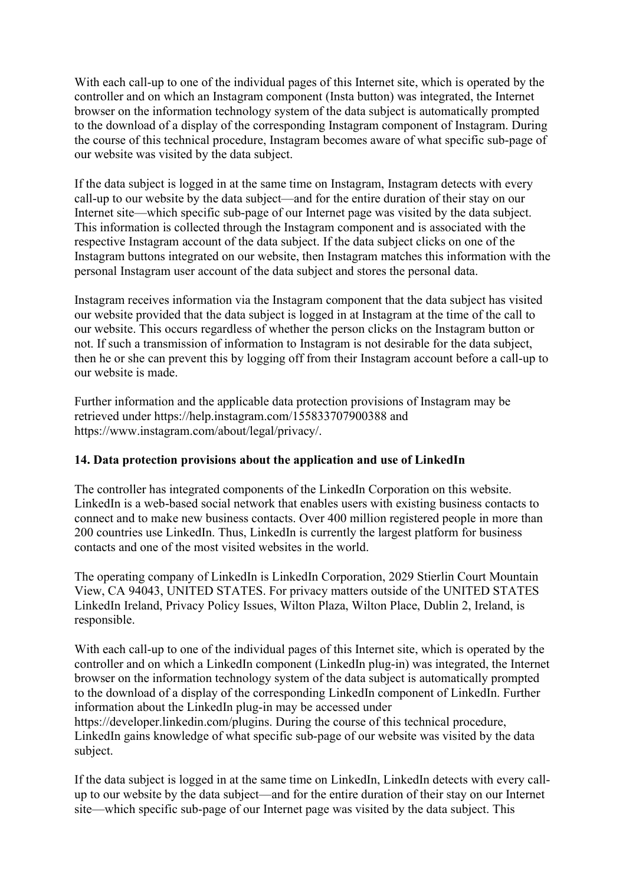With each call-up to one of the individual pages of this Internet site, which is operated by the controller and on which an Instagram component (Insta button) was integrated, the Internet browser on the information technology system of the data subject is automatically prompted to the download of a display of the corresponding Instagram component of Instagram. During the course of this technical procedure, Instagram becomes aware of what specific sub-page of our website was visited by the data subject.

If the data subject is logged in at the same time on Instagram, Instagram detects with every call-up to our website by the data subject—and for the entire duration of their stay on our Internet site—which specific sub-page of our Internet page was visited by the data subject. This information is collected through the Instagram component and is associated with the respective Instagram account of the data subject. If the data subject clicks on one of the Instagram buttons integrated on our website, then Instagram matches this information with the personal Instagram user account of the data subject and stores the personal data.

Instagram receives information via the Instagram component that the data subject has visited our website provided that the data subject is logged in at Instagram at the time of the call to our website. This occurs regardless of whether the person clicks on the Instagram button or not. If such a transmission of information to Instagram is not desirable for the data subject, then he or she can prevent this by logging off from their Instagram account before a call-up to our website is made.

Further information and the applicable data protection provisions of Instagram may be retrieved under https://help.instagram.com/155833707900388 and https://www.instagram.com/about/legal/privacy/.

## 14. Data protection provisions about the application and use of LinkedIn

The controller has integrated components of the LinkedIn Corporation on this website. LinkedIn is a web-based social network that enables users with existing business contacts to connect and to make new business contacts. Over 400 million registered people in more than 200 countries use LinkedIn. Thus, LinkedIn is currently the largest platform for business contacts and one of the most visited websites in the world.

The operating company of LinkedIn is LinkedIn Corporation, 2029 Stierlin Court Mountain View, CA 94043, UNITED STATES. For privacy matters outside of the UNITED STATES LinkedIn Ireland, Privacy Policy Issues, Wilton Plaza, Wilton Place, Dublin 2, Ireland, is responsible.

With each call-up to one of the individual pages of this Internet site, which is operated by the controller and on which a LinkedIn component (LinkedIn plug-in) was integrated, the Internet browser on the information technology system of the data subject is automatically prompted to the download of a display of the corresponding LinkedIn component of LinkedIn. Further information about the LinkedIn plug-in may be accessed under

https://developer.linkedin.com/plugins. During the course of this technical procedure, LinkedIn gains knowledge of what specific sub-page of our website was visited by the data subject.

If the data subject is logged in at the same time on LinkedIn, LinkedIn detects with every callup to our website by the data subject—and for the entire duration of their stay on our Internet site—which specific sub-page of our Internet page was visited by the data subject. This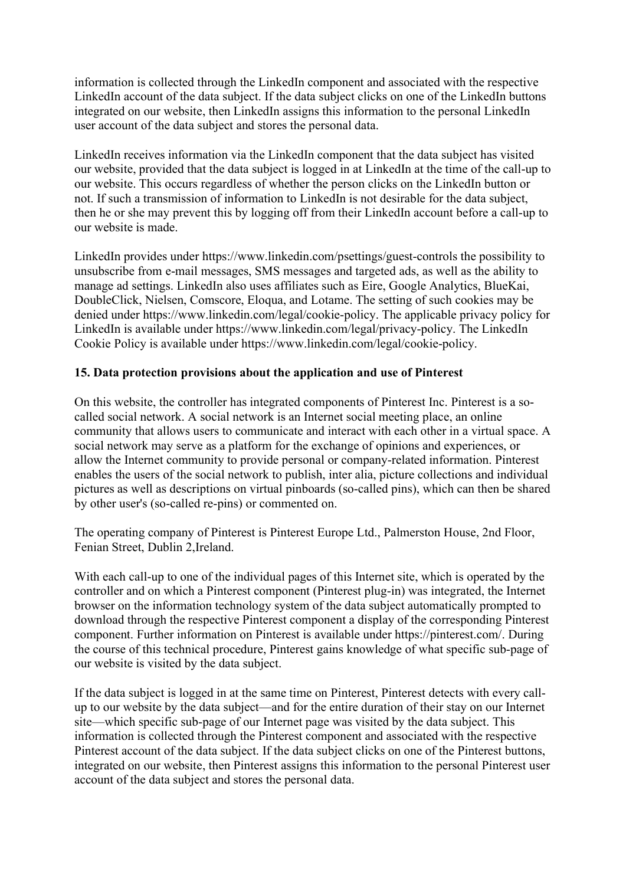information is collected through the LinkedIn component and associated with the respective LinkedIn account of the data subject. If the data subject clicks on one of the LinkedIn buttons integrated on our website, then LinkedIn assigns this information to the personal LinkedIn user account of the data subject and stores the personal data.

LinkedIn receives information via the LinkedIn component that the data subject has visited our website, provided that the data subject is logged in at LinkedIn at the time of the call-up to our website. This occurs regardless of whether the person clicks on the LinkedIn button or not. If such a transmission of information to LinkedIn is not desirable for the data subject, then he or she may prevent this by logging off from their LinkedIn account before a call-up to our website is made.

LinkedIn provides under https://www.linkedin.com/psettings/guest-controls the possibility to unsubscribe from e-mail messages, SMS messages and targeted ads, as well as the ability to manage ad settings. LinkedIn also uses affiliates such as Eire, Google Analytics, BlueKai, DoubleClick, Nielsen, Comscore, Eloqua, and Lotame. The setting of such cookies may be denied under https://www.linkedin.com/legal/cookie-policy. The applicable privacy policy for LinkedIn is available under https://www.linkedin.com/legal/privacy-policy. The LinkedIn Cookie Policy is available under https://www.linkedin.com/legal/cookie-policy.

# 15. Data protection provisions about the application and use of Pinterest

On this website, the controller has integrated components of Pinterest Inc. Pinterest is a socalled social network. A social network is an Internet social meeting place, an online community that allows users to communicate and interact with each other in a virtual space. A social network may serve as a platform for the exchange of opinions and experiences, or allow the Internet community to provide personal or company-related information. Pinterest enables the users of the social network to publish, inter alia, picture collections and individual pictures as well as descriptions on virtual pinboards (so-called pins), which can then be shared by other user's (so-called re-pins) or commented on.

The operating company of Pinterest is Pinterest Europe Ltd., Palmerston House, 2nd Floor, Fenian Street, Dublin 2,Ireland.

With each call-up to one of the individual pages of this Internet site, which is operated by the controller and on which a Pinterest component (Pinterest plug-in) was integrated, the Internet browser on the information technology system of the data subject automatically prompted to download through the respective Pinterest component a display of the corresponding Pinterest component. Further information on Pinterest is available under https://pinterest.com/. During the course of this technical procedure, Pinterest gains knowledge of what specific sub-page of our website is visited by the data subject.

If the data subject is logged in at the same time on Pinterest, Pinterest detects with every callup to our website by the data subject—and for the entire duration of their stay on our Internet site—which specific sub-page of our Internet page was visited by the data subject. This information is collected through the Pinterest component and associated with the respective Pinterest account of the data subject. If the data subject clicks on one of the Pinterest buttons, integrated on our website, then Pinterest assigns this information to the personal Pinterest user account of the data subject and stores the personal data.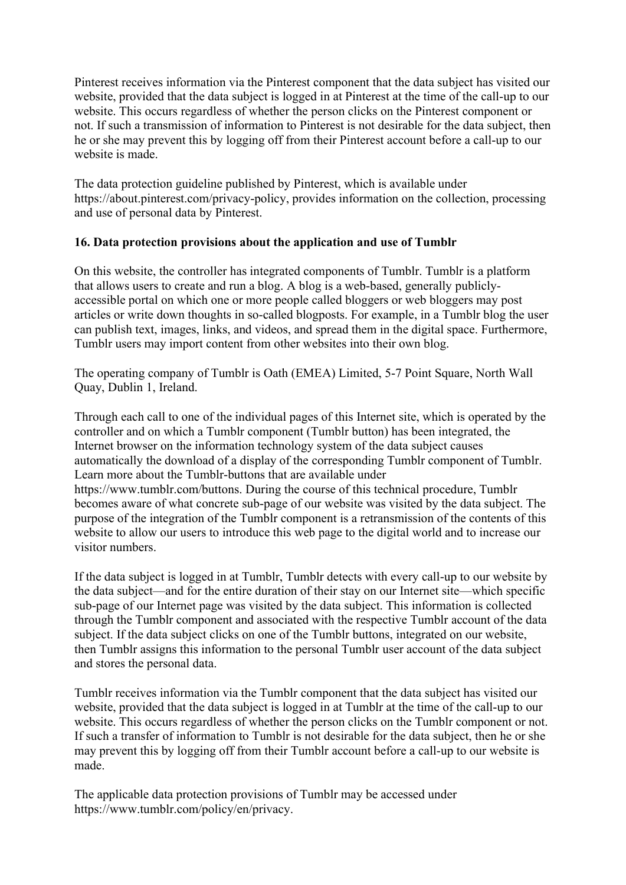Pinterest receives information via the Pinterest component that the data subject has visited our website, provided that the data subject is logged in at Pinterest at the time of the call-up to our website. This occurs regardless of whether the person clicks on the Pinterest component or not. If such a transmission of information to Pinterest is not desirable for the data subject, then he or she may prevent this by logging off from their Pinterest account before a call-up to our website is made.

The data protection guideline published by Pinterest, which is available under https://about.pinterest.com/privacy-policy, provides information on the collection, processing and use of personal data by Pinterest.

## 16. Data protection provisions about the application and use of Tumblr

On this website, the controller has integrated components of Tumblr. Tumblr is a platform that allows users to create and run a blog. A blog is a web-based, generally publiclyaccessible portal on which one or more people called bloggers or web bloggers may post articles or write down thoughts in so-called blogposts. For example, in a Tumblr blog the user can publish text, images, links, and videos, and spread them in the digital space. Furthermore, Tumblr users may import content from other websites into their own blog.

The operating company of Tumblr is Oath (EMEA) Limited, 5-7 Point Square, North Wall Quay, Dublin 1, Ireland.

Through each call to one of the individual pages of this Internet site, which is operated by the controller and on which a Tumblr component (Tumblr button) has been integrated, the Internet browser on the information technology system of the data subject causes automatically the download of a display of the corresponding Tumblr component of Tumblr. Learn more about the Tumblr-buttons that are available under https://www.tumblr.com/buttons. During the course of this technical procedure, Tumblr becomes aware of what concrete sub-page of our website was visited by the data subject. The purpose of the integration of the Tumblr component is a retransmission of the contents of this website to allow our users to introduce this web page to the digital world and to increase our visitor numbers.

If the data subject is logged in at Tumblr, Tumblr detects with every call-up to our website by the data subject—and for the entire duration of their stay on our Internet site—which specific sub-page of our Internet page was visited by the data subject. This information is collected through the Tumblr component and associated with the respective Tumblr account of the data subject. If the data subject clicks on one of the Tumblr buttons, integrated on our website, then Tumblr assigns this information to the personal Tumblr user account of the data subject and stores the personal data.

Tumblr receives information via the Tumblr component that the data subject has visited our website, provided that the data subject is logged in at Tumblr at the time of the call-up to our website. This occurs regardless of whether the person clicks on the Tumblr component or not. If such a transfer of information to Tumblr is not desirable for the data subject, then he or she may prevent this by logging off from their Tumblr account before a call-up to our website is made.

The applicable data protection provisions of Tumblr may be accessed under https://www.tumblr.com/policy/en/privacy.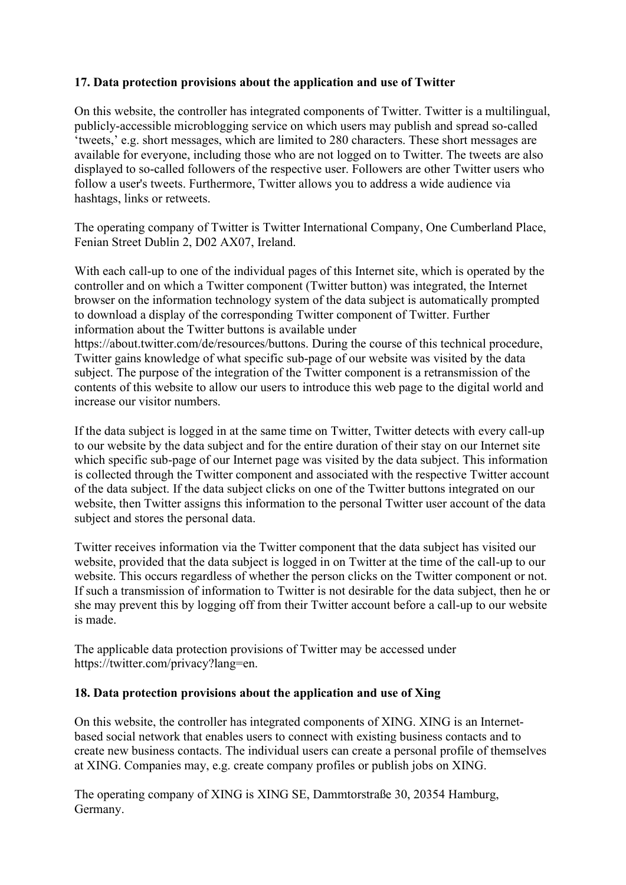## 17. Data protection provisions about the application and use of Twitter

On this website, the controller has integrated components of Twitter. Twitter is a multilingual, publicly-accessible microblogging service on which users may publish and spread so-called 'tweets,' e.g. short messages, which are limited to 280 characters. These short messages are available for everyone, including those who are not logged on to Twitter. The tweets are also displayed to so-called followers of the respective user. Followers are other Twitter users who follow a user's tweets. Furthermore, Twitter allows you to address a wide audience via hashtags, links or retweets.

The operating company of Twitter is Twitter International Company, One Cumberland Place, Fenian Street Dublin 2, D02 AX07, Ireland.

With each call-up to one of the individual pages of this Internet site, which is operated by the controller and on which a Twitter component (Twitter button) was integrated, the Internet browser on the information technology system of the data subject is automatically prompted to download a display of the corresponding Twitter component of Twitter. Further information about the Twitter buttons is available under

https://about.twitter.com/de/resources/buttons. During the course of this technical procedure, Twitter gains knowledge of what specific sub-page of our website was visited by the data subject. The purpose of the integration of the Twitter component is a retransmission of the contents of this website to allow our users to introduce this web page to the digital world and increase our visitor numbers.

If the data subject is logged in at the same time on Twitter, Twitter detects with every call-up to our website by the data subject and for the entire duration of their stay on our Internet site which specific sub-page of our Internet page was visited by the data subject. This information is collected through the Twitter component and associated with the respective Twitter account of the data subject. If the data subject clicks on one of the Twitter buttons integrated on our website, then Twitter assigns this information to the personal Twitter user account of the data subject and stores the personal data.

Twitter receives information via the Twitter component that the data subject has visited our website, provided that the data subject is logged in on Twitter at the time of the call-up to our website. This occurs regardless of whether the person clicks on the Twitter component or not. If such a transmission of information to Twitter is not desirable for the data subject, then he or she may prevent this by logging off from their Twitter account before a call-up to our website is made.

The applicable data protection provisions of Twitter may be accessed under https://twitter.com/privacy?lang=en.

## 18. Data protection provisions about the application and use of Xing

On this website, the controller has integrated components of XING. XING is an Internetbased social network that enables users to connect with existing business contacts and to create new business contacts. The individual users can create a personal profile of themselves at XING. Companies may, e.g. create company profiles or publish jobs on XING.

The operating company of XING is XING SE, Dammtorstraße 30, 20354 Hamburg, Germany.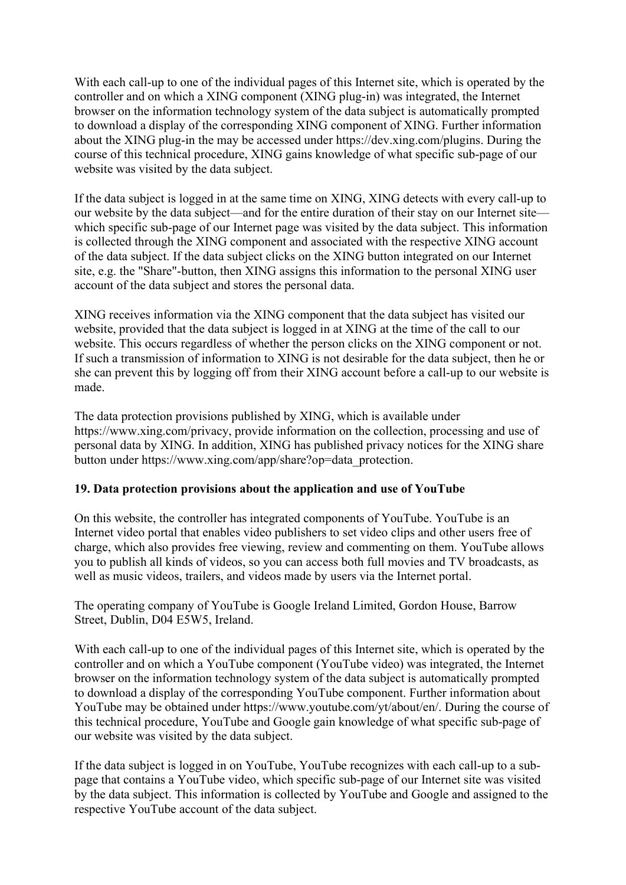With each call-up to one of the individual pages of this Internet site, which is operated by the controller and on which a XING component (XING plug-in) was integrated, the Internet browser on the information technology system of the data subject is automatically prompted to download a display of the corresponding XING component of XING. Further information about the XING plug-in the may be accessed under https://dev.xing.com/plugins. During the course of this technical procedure, XING gains knowledge of what specific sub-page of our website was visited by the data subject.

If the data subject is logged in at the same time on XING, XING detects with every call-up to our website by the data subject—and for the entire duration of their stay on our Internet site which specific sub-page of our Internet page was visited by the data subject. This information is collected through the XING component and associated with the respective XING account of the data subject. If the data subject clicks on the XING button integrated on our Internet site, e.g. the "Share"-button, then XING assigns this information to the personal XING user account of the data subject and stores the personal data.

XING receives information via the XING component that the data subject has visited our website, provided that the data subject is logged in at XING at the time of the call to our website. This occurs regardless of whether the person clicks on the XING component or not. If such a transmission of information to XING is not desirable for the data subject, then he or she can prevent this by logging off from their XING account before a call-up to our website is made.

The data protection provisions published by XING, which is available under https://www.xing.com/privacy, provide information on the collection, processing and use of personal data by XING. In addition, XING has published privacy notices for the XING share button under https://www.xing.com/app/share?op=data\_protection.

## 19. Data protection provisions about the application and use of YouTube

On this website, the controller has integrated components of YouTube. YouTube is an Internet video portal that enables video publishers to set video clips and other users free of charge, which also provides free viewing, review and commenting on them. YouTube allows you to publish all kinds of videos, so you can access both full movies and TV broadcasts, as well as music videos, trailers, and videos made by users via the Internet portal.

The operating company of YouTube is Google Ireland Limited, Gordon House, Barrow Street, Dublin, D04 E5W5, Ireland.

With each call-up to one of the individual pages of this Internet site, which is operated by the controller and on which a YouTube component (YouTube video) was integrated, the Internet browser on the information technology system of the data subject is automatically prompted to download a display of the corresponding YouTube component. Further information about YouTube may be obtained under https://www.youtube.com/yt/about/en/. During the course of this technical procedure, YouTube and Google gain knowledge of what specific sub-page of our website was visited by the data subject.

If the data subject is logged in on YouTube, YouTube recognizes with each call-up to a subpage that contains a YouTube video, which specific sub-page of our Internet site was visited by the data subject. This information is collected by YouTube and Google and assigned to the respective YouTube account of the data subject.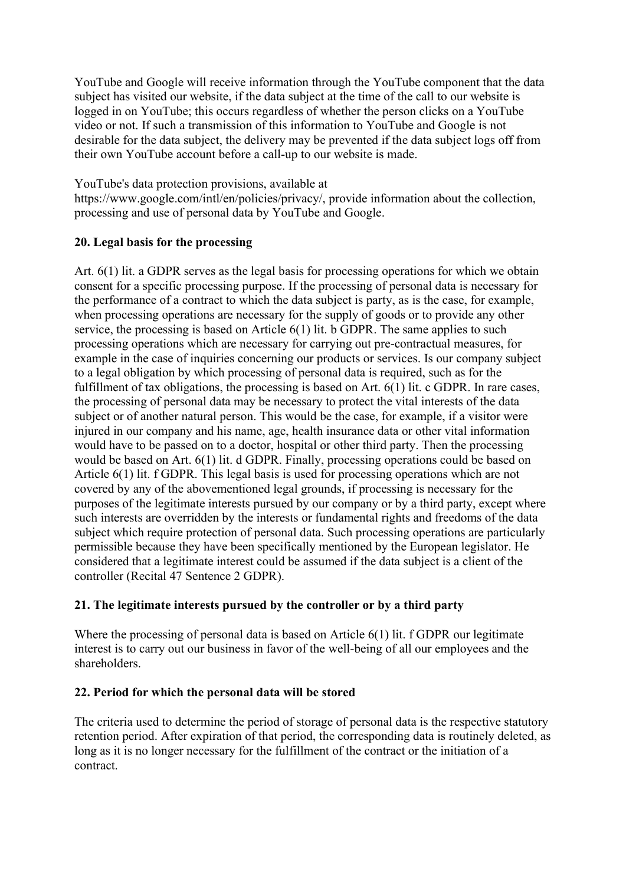YouTube and Google will receive information through the YouTube component that the data subject has visited our website, if the data subject at the time of the call to our website is logged in on YouTube; this occurs regardless of whether the person clicks on a YouTube video or not. If such a transmission of this information to YouTube and Google is not desirable for the data subject, the delivery may be prevented if the data subject logs off from their own YouTube account before a call-up to our website is made.

YouTube's data protection provisions, available at

https://www.google.com/intl/en/policies/privacy/, provide information about the collection, processing and use of personal data by YouTube and Google.

# 20. Legal basis for the processing

Art. 6(1) lit. a GDPR serves as the legal basis for processing operations for which we obtain consent for a specific processing purpose. If the processing of personal data is necessary for the performance of a contract to which the data subject is party, as is the case, for example, when processing operations are necessary for the supply of goods or to provide any other service, the processing is based on Article 6(1) lit. b GDPR. The same applies to such processing operations which are necessary for carrying out pre-contractual measures, for example in the case of inquiries concerning our products or services. Is our company subject to a legal obligation by which processing of personal data is required, such as for the fulfillment of tax obligations, the processing is based on Art. 6(1) lit. c GDPR. In rare cases, the processing of personal data may be necessary to protect the vital interests of the data subject or of another natural person. This would be the case, for example, if a visitor were injured in our company and his name, age, health insurance data or other vital information would have to be passed on to a doctor, hospital or other third party. Then the processing would be based on Art. 6(1) lit. d GDPR. Finally, processing operations could be based on Article 6(1) lit. f GDPR. This legal basis is used for processing operations which are not covered by any of the abovementioned legal grounds, if processing is necessary for the purposes of the legitimate interests pursued by our company or by a third party, except where such interests are overridden by the interests or fundamental rights and freedoms of the data subject which require protection of personal data. Such processing operations are particularly permissible because they have been specifically mentioned by the European legislator. He considered that a legitimate interest could be assumed if the data subject is a client of the controller (Recital 47 Sentence 2 GDPR).

# 21. The legitimate interests pursued by the controller or by a third party

Where the processing of personal data is based on Article 6(1) lit. f GDPR our legitimate interest is to carry out our business in favor of the well-being of all our employees and the shareholders.

## 22. Period for which the personal data will be stored

The criteria used to determine the period of storage of personal data is the respective statutory retention period. After expiration of that period, the corresponding data is routinely deleted, as long as it is no longer necessary for the fulfillment of the contract or the initiation of a contract.